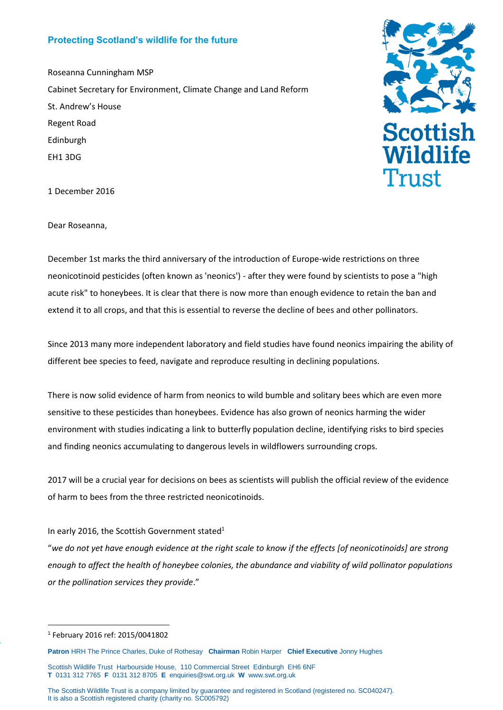## **Protecting Scotland's wildlife for the future**

Roseanna Cunningham MSP Cabinet Secretary for Environment, Climate Change and Land Reform St. Andrew's House Regent Road Edinburgh EH1 3DG



1 December 2016

Dear Roseanna,

December 1st marks the third anniversary of the introduction of Europe-wide restrictions on three neonicotinoid pesticides (often known as 'neonics') - after they were found by scientists to pose a "high acute risk" to honeybees. It is clear that there is now more than enough evidence to retain the ban and extend it to all crops, and that this is essential to reverse the decline of bees and other pollinators.

Since 2013 many more independent laboratory and field studies have found neonics impairing the ability of different bee species to feed, navigate and reproduce resulting in declining populations.

There is now solid evidence of harm from neonics to wild bumble and solitary bees which are even more sensitive to these pesticides than honeybees. Evidence has also grown of neonics harming the wider environment with studies indicating a link to butterfly population decline, identifying risks to bird species and finding neonics accumulating to dangerous levels in wildflowers surrounding crops.

2017 will be a crucial year for decisions on bees as scientists will publish the official review of the evidence of harm to bees from the three restricted neonicotinoids.

## In early 2016, the Scottish Government stated<sup>1</sup>

"*we do not yet have enough evidence at the right scale to know if the effects [of neonicotinoids] are strong enough to affect the health of honeybee colonies, the abundance and viability of wild pollinator populations or the pollination services they provide*."

PaP

1

<sup>1</sup> February 2016 ref: 2015/0041802

**Patron** HRH The Prince Charles, Duke of Rothesay **Chairman** Robin Harper **Chief Executive** Jonny Hughes

Scottish Wildlife Trust Harbourside House, 110 Commercial Street Edinburgh EH6 6NF **T** 0131 312 7765 **F** 0131 312 8705 **E** [enquiries@swt.org.uk](mailto:enquiries@swt.org.uk) **W** [www.swt.org.uk](http://www.swt.org.uk/)

The Scottish Wildlife Trust is a company limited by guarantee and registered in Scotland (registered no. SC040247). It is also a Scottish registered charity (charity no. SC005792)